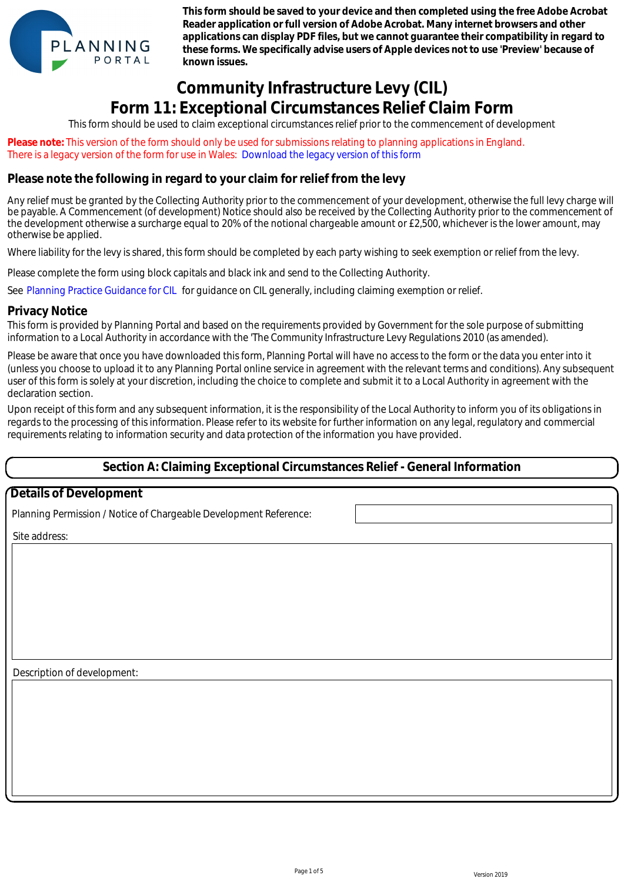

**This form should be saved to your device and then completed using the free Adobe Acrobat Reader application or full version of Adobe Acrobat. Many internet browsers and other applications can display PDF files, but we cannot guarantee their compatibility in regard to these forms. We specifically advise users of Apple devices not to use 'Preview' because of known issues.**

# **Community Infrastructure Levy (CIL) Form 11: Exceptional Circumstances Relief Claim Form**

This form should be used to claim exceptional circumstances relief prior to the commencement of development

**Please note:** This version of the form should only be used for submissions relating to planning applications in England. There is a legacy version of the form for use in Wales: Download the legacy version of this form

### **Please note the following in regard to your claim for relief from the levy**

Any relief must be granted by the Collecting Authority prior to the commencement of your development, otherwise the full levy charge will be payable. A Commencement (of development) Notice should also be received by the Collecting Authority prior to the commencement of the development otherwise a surcharge equal to 20% of the notional chargeable amount or £2,500, whichever is the lower amount, may otherwise be applied.

Where liability for the levy is shared, this form should be completed by each party wishing to seek exemption or relief from the levy.

Please complete the form using block capitals and black ink and send to the Collecting Authority.

See Planning Practice Guidance for CIL for guidance on CIL generally, including claiming exemption or relief.

#### **Privacy Notice**

This form is provided by Planning Portal and based on the requirements provided by Government for the sole purpose of submitting information to a Local Authority in accordance with the 'The Community Infrastructure Levy Regulations 2010 (as amended).

Please be aware that once you have downloaded this form, Planning Portal will have no access to the form or the data you enter into it (unless you choose to upload it to any Planning Portal online service in agreement with the relevant terms and conditions). Any subsequent user of this form is solely at your discretion, including the choice to complete and submit it to a Local Authority in agreement with the declaration section. e is a legacy version of the form for use in Weiles. Download the legacy version of this form<br>sea onde the following in reegard to your claim for reflef from the levy<br>depicts Accommon control to the component of your depar

Upon receipt of this form and any subsequent information, it is the responsibility of the Local Authority to inform you of its obligations in regards to the processing of this information. Please refer to its website for further information on any legal, regulatory and commercial requirements relating to information security and data protection of the information you have provided.

### **Section A: Claiming Exceptional Circumstances Relief - General Information**

### **Details of Development**

Planning Permission / Notice of Chargeable Development Reference:

Site address:

Description of development: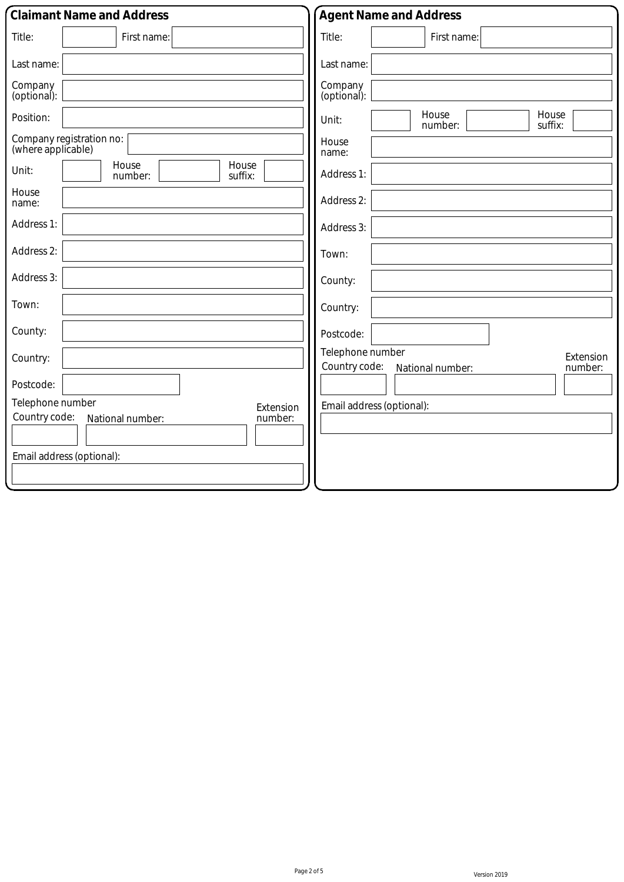| <b>Claimant Name and Address</b>                                              | <b>Agent Name and Address</b>                                                 |  |
|-------------------------------------------------------------------------------|-------------------------------------------------------------------------------|--|
| Title:<br>First name:                                                         | Title:<br>First name:                                                         |  |
| Last name:                                                                    | Last name:                                                                    |  |
| Company<br>(optional):                                                        | Company<br>(optional):                                                        |  |
| Position:                                                                     | House<br>House<br>Unit:<br>suffix:<br>number:                                 |  |
| Company registration no:<br>(where applicable)                                | House<br>name:                                                                |  |
| House<br>House<br>Unit:<br>number:<br>suffix:                                 | Address 1:                                                                    |  |
| House<br>name:                                                                | Address 2:                                                                    |  |
| Address 1:                                                                    | Address 3:                                                                    |  |
| Address 2:                                                                    | Town:                                                                         |  |
| Address 3:                                                                    | County:                                                                       |  |
| Town:                                                                         | Country:                                                                      |  |
| County:                                                                       | Postcode:                                                                     |  |
| Country:                                                                      | Telephone number<br>Extension<br>Country code:<br>number:<br>National number: |  |
| Postcode:                                                                     |                                                                               |  |
| Telephone number<br>Extension<br>Country code:<br>number:<br>National number: | Email address (optional):                                                     |  |
|                                                                               |                                                                               |  |
| Email address (optional):                                                     |                                                                               |  |
|                                                                               |                                                                               |  |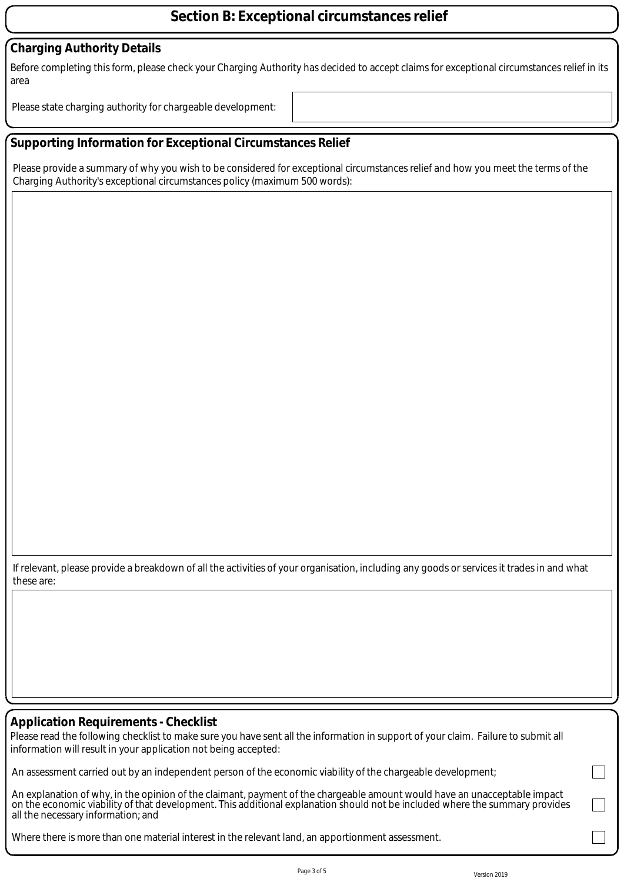# **Section B: Exceptional circumstances relief**

## **Charging Authority Details**

Before completing this form, please check your Charging Authority has decided to accept claims for exceptional circumstances relief in its area

Please state charging authority for chargeable development:

# **Supporting Information for Exceptional Circumstances Relief**

Please provide a summary of why you wish to be considered for exceptional circumstances relief and how you meet the terms of the Charging Authority's exceptional circumstances policy (maximum 500 words):

If relevant, please provide a breakdown of all the activities of your organisation, including any goods or services it trades in and what these are:

### **Application Requirements - Checklist**

Please read the following checklist to make sure you have sent all the information in support of your claim. Failure to submit all information will result in your application not being accepted:

An assessment carried out by an independent person of the economic viability of the chargeable development;

An explanation of why, in the opinion of the claimant, payment of the chargeable amount would have an unacceptable impact on the economic viability of that development. This additional explanation should not be included where the summary provides all the necessary information; and

Where there is more than one material interest in the relevant land, an apportionment assessment.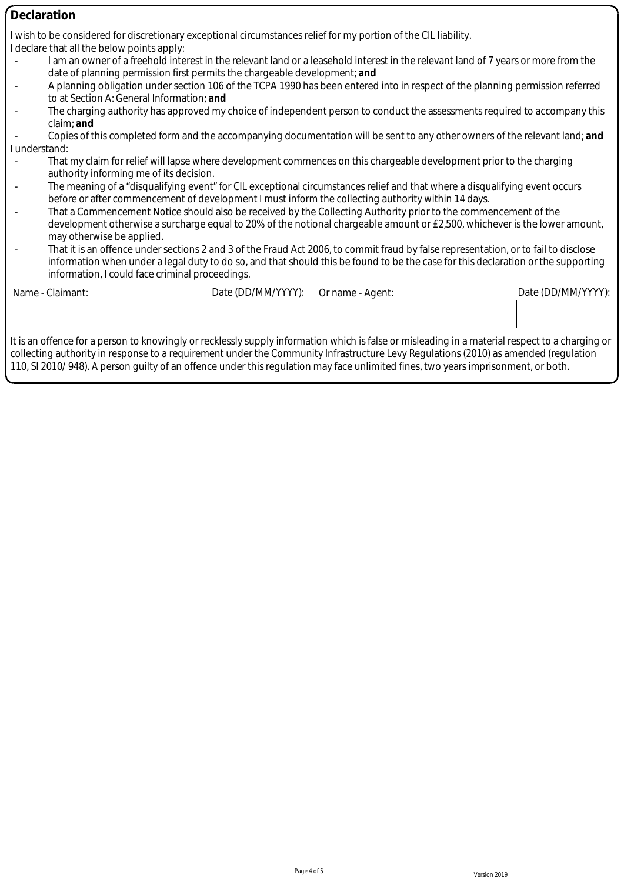| <b>Declaration</b>                                                                                                                              |                                                                                                                                                                                                                                                                            |                    |                                                                                                                                     |                    |  |  |
|-------------------------------------------------------------------------------------------------------------------------------------------------|----------------------------------------------------------------------------------------------------------------------------------------------------------------------------------------------------------------------------------------------------------------------------|--------------------|-------------------------------------------------------------------------------------------------------------------------------------|--------------------|--|--|
|                                                                                                                                                 | I wish to be considered for discretionary exceptional circumstances relief for my portion of the CIL liability.                                                                                                                                                            |                    |                                                                                                                                     |                    |  |  |
|                                                                                                                                                 | I declare that all the below points apply:                                                                                                                                                                                                                                 |                    |                                                                                                                                     |                    |  |  |
|                                                                                                                                                 | I am an owner of a freehold interest in the relevant land or a leasehold interest in the relevant land of 7 years or more from the                                                                                                                                         |                    |                                                                                                                                     |                    |  |  |
|                                                                                                                                                 | date of planning permission first permits the chargeable development; and                                                                                                                                                                                                  |                    |                                                                                                                                     |                    |  |  |
|                                                                                                                                                 | A planning obligation under section 106 of the TCPA 1990 has been entered into in respect of the planning permission referred                                                                                                                                              |                    |                                                                                                                                     |                    |  |  |
|                                                                                                                                                 | to at Section A: General Information; and                                                                                                                                                                                                                                  |                    |                                                                                                                                     |                    |  |  |
|                                                                                                                                                 | The charging authority has approved my choice of independent person to conduct the assessments required to accompany this                                                                                                                                                  |                    |                                                                                                                                     |                    |  |  |
|                                                                                                                                                 | claim; and                                                                                                                                                                                                                                                                 |                    |                                                                                                                                     |                    |  |  |
|                                                                                                                                                 |                                                                                                                                                                                                                                                                            |                    | Copies of this completed form and the accompanying documentation will be sent to any other owners of the relevant land; and         |                    |  |  |
| I understand:                                                                                                                                   |                                                                                                                                                                                                                                                                            |                    |                                                                                                                                     |                    |  |  |
|                                                                                                                                                 | That my claim for relief will lapse where development commences on this chargeable development prior to the charging<br>authority informing me of its decision.                                                                                                            |                    |                                                                                                                                     |                    |  |  |
|                                                                                                                                                 |                                                                                                                                                                                                                                                                            |                    | The meaning of a "disqualifying event" for CIL exceptional circumstances relief and that where a disqualifying event occurs         |                    |  |  |
|                                                                                                                                                 |                                                                                                                                                                                                                                                                            |                    | before or after commencement of development I must inform the collecting authority within 14 days.                                  |                    |  |  |
|                                                                                                                                                 | That a Commencement Notice should also be received by the Collecting Authority prior to the commencement of the<br>development otherwise a surcharge equal to 20% of the notional chargeable amount or £2,500, whichever is the lower amount,<br>may otherwise be applied. |                    |                                                                                                                                     |                    |  |  |
|                                                                                                                                                 |                                                                                                                                                                                                                                                                            |                    |                                                                                                                                     |                    |  |  |
|                                                                                                                                                 |                                                                                                                                                                                                                                                                            |                    |                                                                                                                                     |                    |  |  |
|                                                                                                                                                 |                                                                                                                                                                                                                                                                            |                    | That it is an offence under sections 2 and 3 of the Fraud Act 2006, to commit fraud by false representation, or to fail to disclose |                    |  |  |
|                                                                                                                                                 | information when under a legal duty to do so, and that should this be found to be the case for this declaration or the supporting                                                                                                                                          |                    |                                                                                                                                     |                    |  |  |
|                                                                                                                                                 | information, I could face criminal proceedings.                                                                                                                                                                                                                            |                    |                                                                                                                                     |                    |  |  |
|                                                                                                                                                 | Name - Claimant:                                                                                                                                                                                                                                                           | Date (DD/MM/YYYY): | Or name - Agent:                                                                                                                    | Date (DD/MM/YYYY): |  |  |
|                                                                                                                                                 |                                                                                                                                                                                                                                                                            |                    |                                                                                                                                     |                    |  |  |
|                                                                                                                                                 |                                                                                                                                                                                                                                                                            |                    |                                                                                                                                     |                    |  |  |
|                                                                                                                                                 |                                                                                                                                                                                                                                                                            |                    |                                                                                                                                     |                    |  |  |
| It is an offence for a person to knowingly or recklessly supply information which is false or misleading in a material respect to a charging or |                                                                                                                                                                                                                                                                            |                    |                                                                                                                                     |                    |  |  |
|                                                                                                                                                 |                                                                                                                                                                                                                                                                            |                    | collecting authority in response to a requirement under the Community Infrastructure Levy Regulations (2010) as amended (regulation |                    |  |  |

110, SI 2010/ 948). A person guilty of an offence under this regulation may face unlimited fines, two years imprisonment, or both.